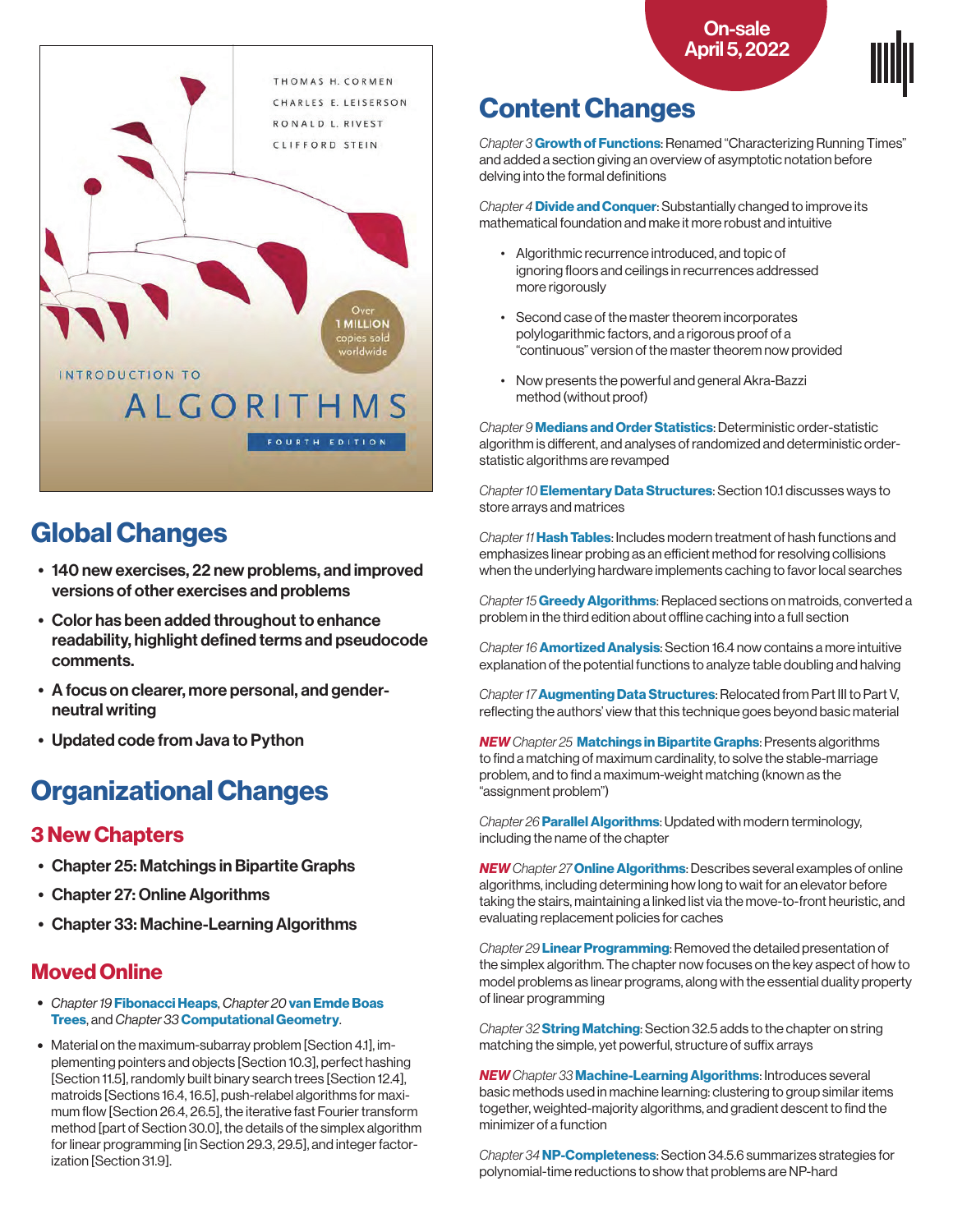



## Global Changes

- 140 new exercises, 22 new problems, and improved versions of other exercises and problems
- Color has been added throughout to enhance readability, highlight defined terms and pseudocode comments.
- A focus on clearer, more personal, and genderneutral writing
- Updated code from Java to Python

# Organizational Changes

### 3 New Chapters

- Chapter 25: Matchings in Bipartite Graphs
- Chapter 27: Online Algorithms
- Chapter 33: Machine-Learning Algorithms

### Moved Online

- Chapter 19 Fibonacci Heaps, Chapter 20 van Emde Boas Trees, and Chapter 33 Computational Geometry.
- Material on the maximum-subarray problem [Section 4.1], implementing pointers and objects [Section 10.3], perfect hashing [Section 11.5], randomly built binary search trees [Section 12.4], matroids [Sections 16.4, 16.5], push-relabel algorithms for maximum flow [Section 26.4, 26.5], the iterative fast Fourier transform method [part of Section 30.0], the details of the simplex algorithm for linear programming [in Section 29.3, 29.5], and integer factorization [Section 31.9].

### Content Changes

Chapter 3 Growth of Functions: Renamed "Characterizing Running Times" and added a section giving an overview of asymptotic notation before delving into the formal definitions

Chapter 4 Divide and Conquer: Substantially changed to improve its mathematical foundation and make it more robust and intuitive

- Algorithmic recurrence introduced, and topic of ignoring floors and ceilings in recurrences addressed more rigorously
- Second case of the master theorem incorporates polylogarithmic factors, and a rigorous proof of a "continuous" version of the master theorem now provided
- Now presents the powerful and general Akra-Bazzi method (without proof)

Chapter 9 Medians and Order Statistics: Deterministic order-statistic algorithm is different, and analyses of randomized and deterministic orderstatistic algorithms are revamped

Chapter 10 **Elementary Data Structures**: Section 10.1 discusses ways to store arrays and matrices

Chapter 11 Hash Tables: Includes modern treatment of hash functions and emphasizes linear probing as an efficient method for resolving collisions when the underlying hardware implements caching to favor local searches

Chapter 15 Greedy Algorithms: Replaced sections on matroids, converted a problem in the third edition about offline caching into a full section

Chapter 16 **Amortized Analysis**: Section 16.4 now contains a more intuitive explanation of the potential functions to analyze table doubling and halving

Chapter 17 **Augmenting Data Structures:** Relocated from Part III to Part V, reflecting the authors' view that this technique goes beyond basic material

NEW Chapter 25 Matchings in Bipartite Graphs: Presents algorithms to find a matching of maximum cardinality, to solve the stable-marriage problem, and to find a maximum-weight matching (known as the "assignment problem")

Chapter 26 **Parallel Algorithms**: Updated with modern terminology, including the name of the chapter

NEW Chapter 27 Online Algorithms: Describes several examples of online algorithms, including determining how long to wait for an elevator before taking the stairs, maintaining a linked list via the move-to-front heuristic, and evaluating replacement policies for caches

Chapter 29 Linear Programming: Removed the detailed presentation of the simplex algorithm. The chapter now focuses on the key aspect of how to model problems as linear programs, along with the essential duality property of linear programming

Chapter 32 **String Matching**: Section 32.5 adds to the chapter on string matching the simple, yet powerful, structure of suffix arrays

NEW Chapter 33 Machine-Learning Algorithms: Introduces several basic methods used in machine learning: clustering to group similar items together, weighted-majority algorithms, and gradient descent to find the minimizer of a function

Chapter 34 NP-Completeness: Section 34.5.6 summarizes strategies for polynomial-time reductions to show that problems are NP-hard